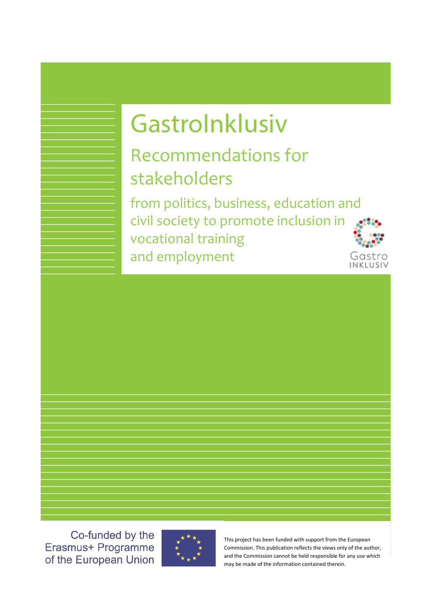# Gastrolnklusiv

Recommendations for stakeholders

from politics, business, education and civil society to promote inclusion in vocational training and employment



Co-funded by the Erasmus+ Programme of the European Union



This project has been funded with support from the European Commission. This publication reflects the views only of the author, and the Commission cannot be held responsible for any use which may be made of the information contained therein.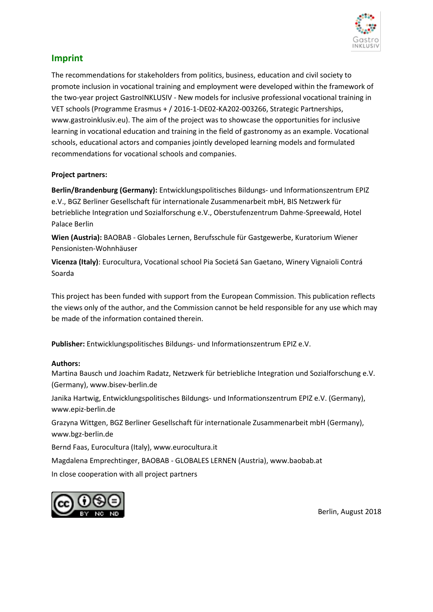

## **Imprint**

The recommendations for stakeholders from politics, business, education and civil society to promote inclusion in vocational training and employment were developed within the framework of the two-year project GastroINKLUSIV - New models for inclusive professional vocational training in VET schools (Programme Erasmus + / 2016-1-DE02-KA202-003266, Strategic Partnerships, www.gastroinklusiv.eu). The aim of the project was to showcase the opportunities for inclusive learning in vocational education and training in the field of gastronomy as an example. Vocational schools, educational actors and companies jointly developed learning models and formulated recommendations for vocational schools and companies.

#### **Project partners:**

**Berlin/Brandenburg (Germany):** Entwicklungspolitisches Bildungs- und Informationszentrum EPIZ e.V., BGZ Berliner Gesellschaft für internationale Zusammenarbeit mbH, BIS Netzwerk für betriebliche Integration und Sozialforschung e.V., Oberstufenzentrum Dahme-Spreewald, Hotel Palace Berlin

**Wien (Austria):** BAOBAB - Globales Lernen, Berufsschule für Gastgewerbe, Kuratorium Wiener Pensionisten-Wohnhäuser

**Vicenza (Italy)**: Eurocultura, Vocational school Pia Societá San Gaetano, Winery Vignaioli Contrá Soarda

This project has been funded with support from the European Commission. This publication reflects the views only of the author, and the Commission cannot be held responsible for any use which may be made of the information contained therein.

**Publisher:** Entwicklungspolitisches Bildungs- und Informationszentrum EPIZ e.V.

#### **Authors:**

Martina Bausch und Joachim Radatz, Netzwerk für betriebliche Integration und Sozialforschung e.V. (Germany), [www.bisev-berlin.de](http://www.bisev-berlin.de/)

Janika Hartwig, Entwicklungspolitisches Bildungs- und Informationszentrum EPIZ e.V. (Germany), www.epiz-berlin.de

Grazyna Wittgen, BGZ Berliner Gesellschaft für internationale Zusammenarbeit mbH (Germany), www.bgz-berlin.de

Bernd Faas, Eurocultura (Italy), [www.eurocultura.it](http://www.eurocultura.it/)

Magdalena Emprechtinger, BAOBAB - GLOBALES LERNEN (Austria)[, www.baobab.at](http://www.baobab.at/)

In close cooperation with all project partners



Berlin, August 2018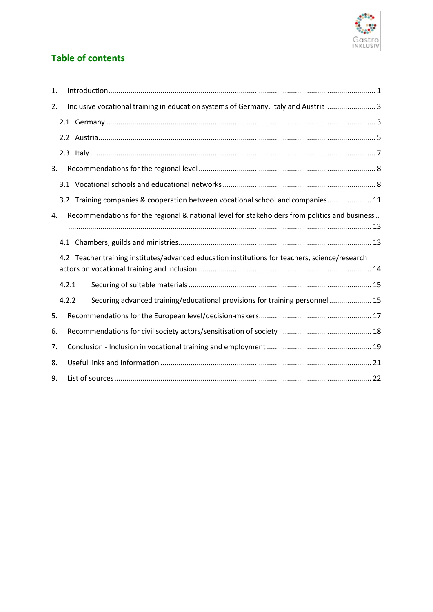

# **Table of contents**

| 1. |       |                                                                                                |
|----|-------|------------------------------------------------------------------------------------------------|
| 2. |       | Inclusive vocational training in education systems of Germany, Italy and Austria 3             |
|    |       |                                                                                                |
|    |       |                                                                                                |
|    |       |                                                                                                |
| 3. |       |                                                                                                |
|    |       |                                                                                                |
|    |       | 3.2 Training companies & cooperation between vocational school and companies 11                |
| 4. |       | Recommendations for the regional & national level for stakeholders from politics and business  |
|    |       |                                                                                                |
|    |       |                                                                                                |
|    |       | 4.2 Teacher training institutes/advanced education institutions for teachers, science/research |
|    |       |                                                                                                |
|    | 4.2.1 |                                                                                                |
|    | 4.2.2 | Securing advanced training/educational provisions for training personnel  15                   |
| 5. |       |                                                                                                |
| 6. |       |                                                                                                |
| 7. |       |                                                                                                |
| 8. |       |                                                                                                |
| 9. |       |                                                                                                |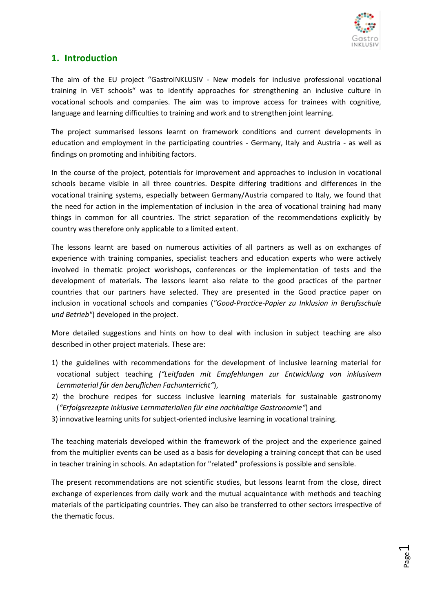

# <span id="page-3-0"></span>**1. Introduction**

The aim of the EU project "GastroINKLUSIV - New models for inclusive professional vocational training in VET schools" was to identify approaches for strengthening an inclusive culture in vocational schools and companies. The aim was to improve access for trainees with cognitive, language and learning difficulties to training and work and to strengthen joint learning.

The project summarised lessons learnt on framework conditions and current developments in education and employment in the participating countries - Germany, Italy and Austria - as well as findings on promoting and inhibiting factors.

In the course of the project, potentials for improvement and approaches to inclusion in vocational schools became visible in all three countries. Despite differing traditions and differences in the vocational training systems, especially between Germany/Austria compared to Italy, we found that the need for action in the implementation of inclusion in the area of vocational training had many things in common for all countries. The strict separation of the recommendations explicitly by country was therefore only applicable to a limited extent.

The lessons learnt are based on numerous activities of all partners as well as on exchanges of experience with training companies, specialist teachers and education experts who were actively involved in thematic project workshops, conferences or the implementation of tests and the development of materials. The lessons learnt also relate to the good practices of the partner countries that our partners have selected. They are presented in the Good practice paper on inclusion in vocational schools and companies (*"Good-Practice-Papier zu Inklusion in Berufsschule und Betrieb"*) developed in the project.

More detailed suggestions and hints on how to deal with inclusion in subject teaching are also described in other project materials. These are:

- 1) the guidelines with recommendations for the development of inclusive learning material for vocational subject teaching *("Leitfaden mit Empfehlungen zur Entwicklung von inklusivem Lernmaterial für den beruflichen Fachunterricht"*),
- 2) the brochure recipes for success inclusive learning materials for sustainable gastronomy (*"Erfolgsrezepte Inklusive Lernmaterialien für eine nachhaltige Gastronomie"*) and
- 3) innovative learning units for subject-oriented inclusive learning in vocational training.

The teaching materials developed within the framework of the project and the experience gained from the multiplier events can be used as a basis for developing a training concept that can be used in teacher training in schools. An adaptation for "related" professions is possible and sensible.

The present recommendations are not scientific studies, but lessons learnt from the close, direct exchange of experiences from daily work and the mutual acquaintance with methods and teaching materials of the participating countries. They can also be transferred to other sectors irrespective of the thematic focus.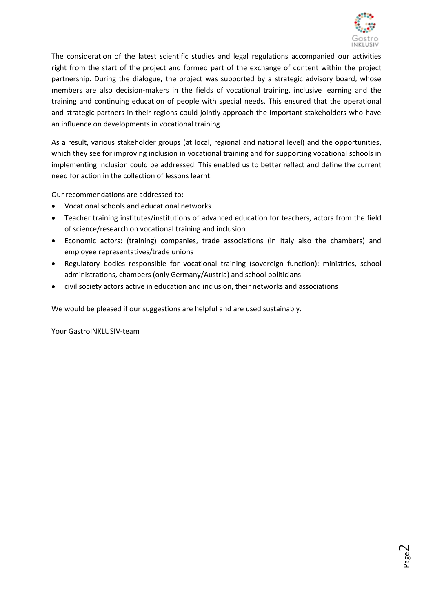

The consideration of the latest scientific studies and legal regulations accompanied our activities right from the start of the project and formed part of the exchange of content within the project partnership. During the dialogue, the project was supported by a strategic advisory board, whose members are also decision-makers in the fields of vocational training, inclusive learning and the training and continuing education of people with special needs. This ensured that the operational and strategic partners in their regions could jointly approach the important stakeholders who have an influence on developments in vocational training.

As a result, various stakeholder groups (at local, regional and national level) and the opportunities, which they see for improving inclusion in vocational training and for supporting vocational schools in implementing inclusion could be addressed. This enabled us to better reflect and define the current need for action in the collection of lessons learnt.

Our recommendations are addressed to:

- Vocational schools and educational networks
- Teacher training institutes/institutions of advanced education for teachers, actors from the field of science/research on vocational training and inclusion
- Economic actors: (training) companies, trade associations (in Italy also the chambers) and employee representatives/trade unions
- Regulatory bodies responsible for vocational training (sovereign function): ministries, school administrations, chambers (only Germany/Austria) and school politicians
- civil society actors active in education and inclusion, their networks and associations

We would be pleased if our suggestions are helpful and are used sustainably.

Your GastroINKLUSIV-team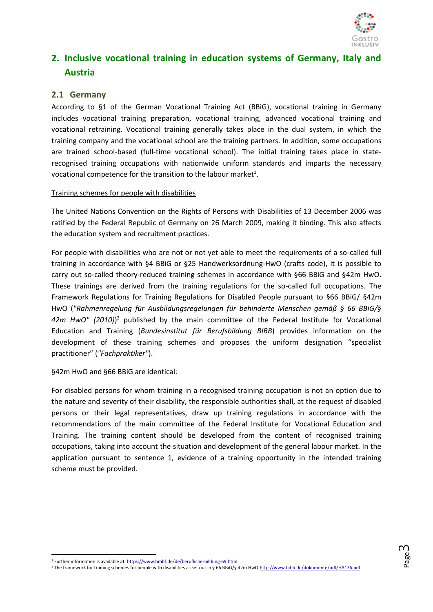

# <span id="page-5-0"></span>**2. Inclusive vocational training in education systems of Germany, Italy and Austria**

### <span id="page-5-1"></span>**2.1 Germany**

According to §1 of the German Vocational Training Act (BBiG), vocational training in Germany includes vocational training preparation, vocational training, advanced vocational training and vocational retraining. Vocational training generally takes place in the dual system, in which the training company and the vocational school are the training partners. In addition, some occupations are trained school-based (full-time vocational school). The initial training takes place in staterecognised training occupations with nationwide uniform standards and imparts the necessary vocational competence for the transition to the labour market<sup>1</sup>.

#### Training schemes for people with disabilities

The United Nations Convention on the Rights of Persons with Disabilities of 13 December 2006 was ratified by the Federal Republic of Germany on 26 March 2009, making it binding. This also affects the education system and recruitment practices.

For people with disabilities who are not or not yet able to meet the requirements of a so-called full training in accordance with §4 BBiG or §25 Handwerksordnung-HwO (crafts code), it is possible to carry out so-called theory-reduced training schemes in accordance with §66 BBiG and §42m HwO. These trainings are derived from the training regulations for the so-called full occupations. The Framework Regulations for Training Regulations for Disabled People pursuant to §66 BBiG/ §42m HwO (*"Rahmenregelung für Ausbildungsregelungen für behinderte Menschen gemäß § 66 BBiG/§*  42m HwO" (2010)<sup>2</sup> published by the main committee of the Federal Institute for Vocational Education and Training (*Bundesinstitut für Berufsbildung BIBB*) provides information on the development of these training schemes and proposes the uniform designation "specialist practitioner" (*"Fachpraktiker"*).

§42m HwO and §66 BBiG are identical:

For disabled persons for whom training in a recognised training occupation is not an option due to the nature and severity of their disability, the responsible authorities shall, at the request of disabled persons or their legal representatives, draw up training regulations in accordance with the recommendations of the main committee of the Federal Institute for Vocational Education and Training. The training content should be developed from the content of recognised training occupations, taking into account the situation and development of the general labour market. In the application pursuant to sentence 1, evidence of a training opportunity in the intended training scheme must be provided.

**.** 

<sup>1</sup> Further information is available at[: https://www.bmbf.de/de/berufliche-bildung-69.html](https://www.bmbf.de/de/berufliche-bildung-69.html)

<sup>&</sup>lt;sup>2</sup> The framework for training schemes for people with disabilities as set out in § 66 BBiG/§ 42m Hw[O http://www.bibb.de/dokumente/pdf/HA136.pdf](http://www.bibb.de/dokumente/pdf/HA136.pdf)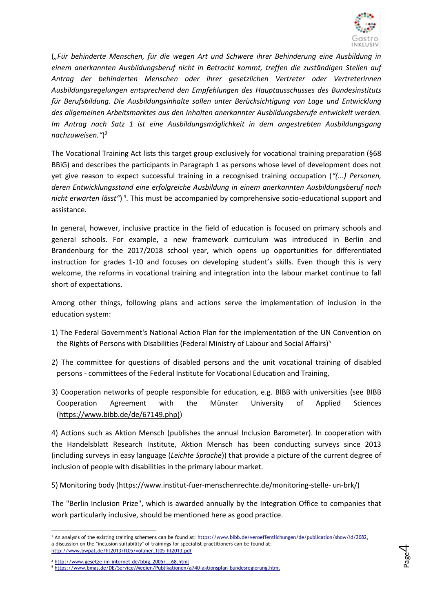

(*"Für behinderte Menschen, für die wegen Art und Schwere ihrer Behinderung eine Ausbildung in einem anerkannten Ausbildungsberuf nicht in Betracht kommt, treffen die zuständigen Stellen auf Antrag der behinderten Menschen oder ihrer gesetzlichen Vertreter oder Vertreterinnen Ausbildungsregelungen entsprechend den Empfehlungen des Hauptausschusses des Bundesinstituts für Berufsbildung. Die Ausbildungsinhalte sollen unter Berücksichtigung von Lage und Entwicklung des allgemeinen Arbeitsmarktes aus den Inhalten anerkannter Ausbildungsberufe entwickelt werden. Im Antrag nach Satz 1 ist eine Ausbildungsmöglichkeit in dem angestrebten Ausbildungsgang nachzuweisen."*) *3*

The Vocational Training Act lists this target group exclusively for vocational training preparation (§68 BBiG) and describes the participants in Paragraph 1 as persons whose level of development does not yet give reason to expect successful training in a recognised training occupation (*"(...) Personen, deren Entwicklungsstand eine erfolgreiche Ausbildung in einem anerkannten Ausbildungsberuf noch*  nicht erwarten lässt")<sup>4</sup>. This must be accompanied by comprehensive socio-educational support and assistance.

In general, however, inclusive practice in the field of education is focused on primary schools and general schools. For example, a new framework curriculum was introduced in Berlin and Brandenburg for the 2017/2018 school year, which opens up opportunities for differentiated instruction for grades 1-10 and focuses on developing student's skills. Even though this is very welcome, the reforms in vocational training and integration into the labour market continue to fall short of expectations.

Among other things, following plans and actions serve the implementation of inclusion in the education system:

- 1) The Federal Government's National Action Plan for the implementation of the UN Convention on the Rights of Persons with Disabilities (Federal Ministry of Labour and Social Affairs)<sup>5</sup>
- 2) The committee for questions of disabled persons and the unit vocational training of disabled persons - committees of the Federal Institute for Vocational Education and Training,
- 3) Cooperation networks of people responsible for education, e.g. BIBB with universities (see BIBB Cooperation Agreement with the Münster University of Applied Sciences [\(https://www.bibb.de/de/67149.php\)\)](https://www.bibb.de/de/67149.php))

4) Actions such as Aktion Mensch (publishes the annual Inclusion Barometer). In cooperation with the Handelsblatt Research Institute, Aktion Mensch has been conducting surveys since 2013 (including surveys in easy language (*Leichte Sprache*)) that provide a picture of the current degree of inclusion of people with disabilities in the primary labour market.

5) Monitoring body [\(https://www.institut-fuer-menschenrechte.de/monitoring-stelle-](https://www.institut-fuer-menschenrechte.de/monitoring-stelle-%20un-brk/) un-brk/)

The "Berlin Inclusion Prize", which is awarded annually by the Integration Office to companies that work particularly inclusive, should be mentioned here as good practice.

<sup>1</sup> <sup>3</sup> An analysis of the existing training schemens can be found at: [https://www.bibb.de/veroeffentlichungen/de/publication/show/id/2082,](https://www.bibb.de/veroeffentlichungen/de/publication/show/id/2082) a discussion on the "inclusion suitability" of trainings for specialist practitioners can be found at: [http://www.bwpat.de/ht2013/ft05/vollmer\\_ft05-ht2013.pdf](http://www.bwpat.de/ht2013/ft05/vollmer_ft05-ht2013.pdf)

<sup>4</sup> [http://www.gesetze-im-internet.de/bbig\\_2005/\\_\\_68.html](http://www.gesetze-im-internet.de/bbig_2005/__68.html)

<sup>5</sup> <https://www.bmas.de/DE/Service/Medien/Publikationen/a740-aktionsplan-bundesregierung.html>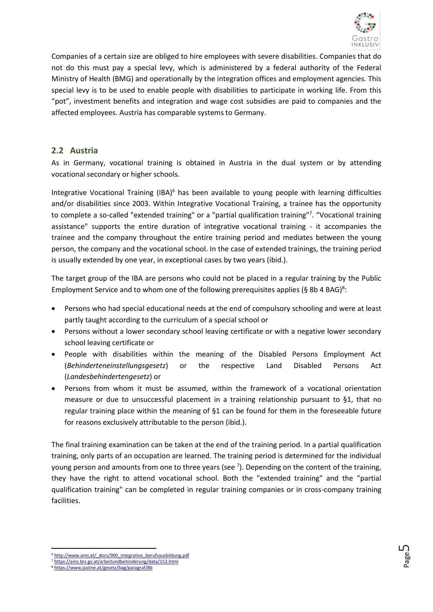

Companies of a certain size are obliged to hire employees with severe disabilities. Companies that do not do this must pay a special levy, which is administered by a federal authority of the Federal Ministry of Health (BMG) and operationally by the integration offices and employment agencies. This special levy is to be used to enable people with disabilities to participate in working life. From this "pot", investment benefits and integration and wage cost subsidies are paid to companies and the affected employees. Austria has comparable systems to Germany.

### <span id="page-7-0"></span>**2.2 Austria**

As in Germany, vocational training is obtained in Austria in the dual system or by attending vocational secondary or higher schools.

Integrative Vocational Training (IBA)<sup>6</sup> has been available to young people with learning difficulties and/or disabilities since 2003. Within Integrative Vocational Training, a trainee has the opportunity to complete a so-called "extended training" or a "partial qualification training"<sup>7</sup>. "Vocational training assistance" supports the entire duration of integrative vocational training - it accompanies the trainee and the company throughout the entire training period and mediates between the young person, the company and the vocational school. In the case of extended trainings, the training period is usually extended by one year, in exceptional cases by two years (ibid.).

The target group of the IBA are persons who could not be placed in a regular training by the Public Employment Service and to whom one of the following prerequisites applies (§ 8b 4 BAG)<sup>8</sup>:

- Persons who had special educational needs at the end of compulsory schooling and were at least partly taught according to the curriculum of a special school or
- Persons without a lower secondary school leaving certificate or with a negative lower secondary school leaving certificate or
- People with disabilities within the meaning of the Disabled Persons Employment Act (*Behinderteneinstellungsgesetz*) or the respective Land Disabled Persons Act (*Landesbehindertengesetz*) or
- Persons from whom it must be assumed, within the framework of a vocational orientation measure or due to unsuccessful placement in a training relationship pursuant to §1, that no regular training place within the meaning of §1 can be found for them in the foreseeable future for reasons exclusively attributable to the person (ibid.).

The final training examination can be taken at the end of the training period. In a partial qualification training, only parts of an occupation are learned. The training period is determined for the individual young person and amounts from one to three years (see  $\frac{7}{1}$ ). Depending on the content of the training, they have the right to attend vocational school. Both the "extended training" and the "partial qualification training" can be completed in regular training companies or in cross-company training facilities.

1

<sup>&</sup>lt;sup>6</sup> [http://www.ams.at/\\_docs/900\\_integrative\\_berufsausbildung.pdf](http://www.ams.at/_docs/900_integrative_berufsausbildung.pdf)

<sup>7</sup> <https://ams.brz.gv.at/arbeitundbehinderung/data/152.html>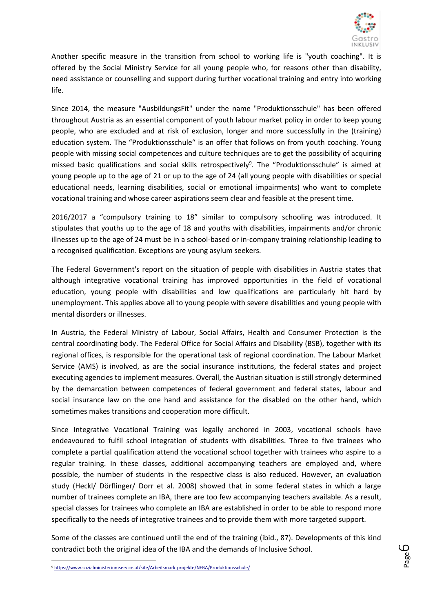

Another specific measure in the transition from school to working life is "youth coaching". It is offered by the Social Ministry Service for all young people who, for reasons other than disability, need assistance or counselling and support during further vocational training and entry into working life.

Since 2014, the measure "AusbildungsFit" under the name "Produktionsschule" has been offered throughout Austria as an essential component of youth labour market policy in order to keep young people, who are excluded and at risk of exclusion, longer and more successfully in the (training) education system. The "Produktionsschule" is an offer that follows on from youth coaching. Young people with missing social competences and culture techniques are to get the possibility of acquiring missed basic qualifications and social skills retrospectively<sup>9</sup>. The "Produktionsschule" is aimed at young people up to the age of 21 or up to the age of 24 (all young people with disabilities or special educational needs, learning disabilities, social or emotional impairments) who want to complete vocational training and whose career aspirations seem clear and feasible at the present time.

2016/2017 a "compulsory training to 18" similar to compulsory schooling was introduced. It stipulates that youths up to the age of 18 and youths with disabilities, impairments and/or chronic illnesses up to the age of 24 must be in a school-based or in-company training relationship leading to a recognised qualification. Exceptions are young asylum seekers.

The Federal Government's report on the situation of people with disabilities in Austria states that although integrative vocational training has improved opportunities in the field of vocational education, young people with disabilities and low qualifications are particularly hit hard by unemployment. This applies above all to young people with severe disabilities and young people with mental disorders or illnesses.

In Austria, the Federal Ministry of Labour, Social Affairs, Health and Consumer Protection is the central coordinating body. The Federal Office for Social Affairs and Disability (BSB), together with its regional offices, is responsible for the operational task of regional coordination. The Labour Market Service (AMS) is involved, as are the social insurance institutions, the federal states and project executing agencies to implement measures. Overall, the Austrian situation is still strongly determined by the demarcation between competences of federal government and federal states, labour and social insurance law on the one hand and assistance for the disabled on the other hand, which sometimes makes transitions and cooperation more difficult.

Since Integrative Vocational Training was legally anchored in 2003, vocational schools have endeavoured to fulfil school integration of students with disabilities. Three to five trainees who complete a partial qualification attend the vocational school together with trainees who aspire to a regular training. In these classes, additional accompanying teachers are employed and, where possible, the number of students in the respective class is also reduced. However, an evaluation study (Heckl/ Dörflinger/ Dorr et al. 2008) showed that in some federal states in which a large number of trainees complete an IBA, there are too few accompanying teachers available. As a result, special classes for trainees who complete an IBA are established in order to be able to respond more specifically to the needs of integrative trainees and to provide them with more targeted support.

Some of the classes are continued until the end of the training (ibid., 87). Developments of this kind contradict both the original idea of the IBA and the demands of Inclusive School.

**.** 

<sup>9</sup> <https://www.sozialministeriumservice.at/site/Arbeitsmarktprojekte/NEBA/Produktionsschule/>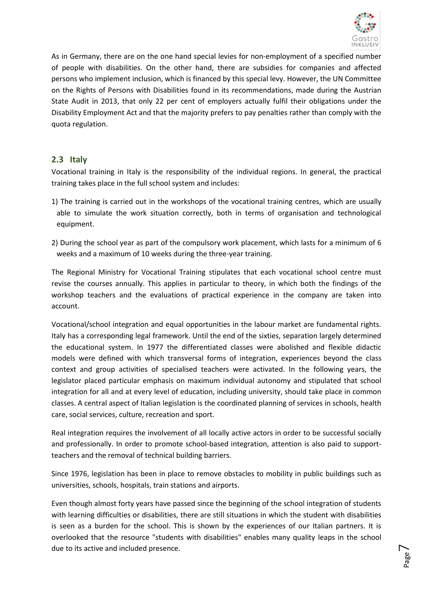

As in Germany, there are on the one hand special levies for non-employment of a specified number of people with disabilities. On the other hand, there are subsidies for companies and affected persons who implement inclusion, which is financed by this special levy. However, the UN Committee on the Rights of Persons with Disabilities found in its recommendations, made during the Austrian State Audit in 2013, that only 22 per cent of employers actually fulfil their obligations under the Disability Employment Act and that the majority prefers to pay penalties rather than comply with the quota regulation.

### <span id="page-9-0"></span>**2.3 Italy**

Vocational training in Italy is the responsibility of the individual regions. In general, the practical training takes place in the full school system and includes:

- 1) The training is carried out in the workshops of the vocational training centres, which are usually able to simulate the work situation correctly, both in terms of organisation and technological equipment.
- 2) During the school year as part of the compulsory work placement, which lasts for a minimum of 6 weeks and a maximum of 10 weeks during the three-year training.

The Regional Ministry for Vocational Training stipulates that each vocational school centre must revise the courses annually. This applies in particular to theory, in which both the findings of the workshop teachers and the evaluations of practical experience in the company are taken into account.

Vocational/school integration and equal opportunities in the labour market are fundamental rights. Italy has a corresponding legal framework. Until the end of the sixties, separation largely determined the educational system. In 1977 the differentiated classes were abolished and flexible didactic models were defined with which transversal forms of integration, experiences beyond the class context and group activities of specialised teachers were activated. In the following years, the legislator placed particular emphasis on maximum individual autonomy and stipulated that school integration for all and at every level of education, including university, should take place in common classes. A central aspect of Italian legislation is the coordinated planning of services in schools, health care, social services, culture, recreation and sport.

Real integration requires the involvement of all locally active actors in order to be successful socially and professionally. In order to promote school-based integration, attention is also paid to supportteachers and the removal of technical building barriers.

Since 1976, legislation has been in place to remove obstacles to mobility in public buildings such as universities, schools, hospitals, train stations and airports.

Even though almost forty years have passed since the beginning of the school integration of students with learning difficulties or disabilities, there are still situations in which the student with disabilities is seen as a burden for the school. This is shown by the experiences of our Italian partners. It is overlooked that the resource "students with disabilities" enables many quality leaps in the school due to its active and included presence.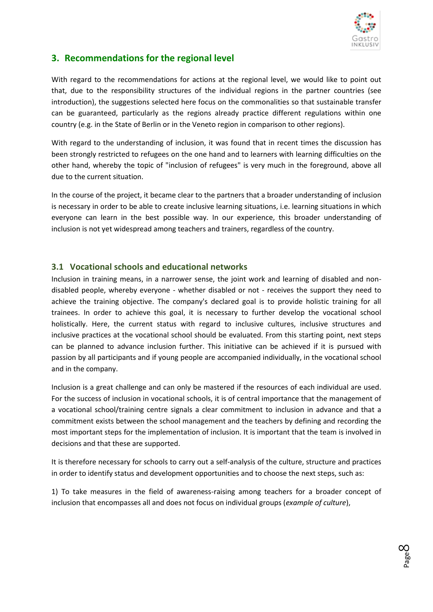

# <span id="page-10-0"></span>**3. Recommendations for the regional level**

With regard to the recommendations for actions at the regional level, we would like to point out that, due to the responsibility structures of the individual regions in the partner countries (see introduction), the suggestions selected here focus on the commonalities so that sustainable transfer can be guaranteed, particularly as the regions already practice different regulations within one country (e.g. in the State of Berlin or in the Veneto region in comparison to other regions).

With regard to the understanding of inclusion, it was found that in recent times the discussion has been strongly restricted to refugees on the one hand and to learners with learning difficulties on the other hand, whereby the topic of "inclusion of refugees" is very much in the foreground, above all due to the current situation.

In the course of the project, it became clear to the partners that a broader understanding of inclusion is necessary in order to be able to create inclusive learning situations, i.e. learning situations in which everyone can learn in the best possible way. In our experience, this broader understanding of inclusion is not yet widespread among teachers and trainers, regardless of the country.

#### <span id="page-10-1"></span>**3.1 Vocational schools and educational networks**

Inclusion in training means, in a narrower sense, the joint work and learning of disabled and nondisabled people, whereby everyone - whether disabled or not - receives the support they need to achieve the training objective. The company's declared goal is to provide holistic training for all trainees. In order to achieve this goal, it is necessary to further develop the vocational school holistically. Here, the current status with regard to inclusive cultures, inclusive structures and inclusive practices at the vocational school should be evaluated. From this starting point, next steps can be planned to advance inclusion further. This initiative can be achieved if it is pursued with passion by all participants and if young people are accompanied individually, in the vocational school and in the company.

Inclusion is a great challenge and can only be mastered if the resources of each individual are used. For the success of inclusion in vocational schools, it is of central importance that the management of a vocational school/training centre signals a clear commitment to inclusion in advance and that a commitment exists between the school management and the teachers by defining and recording the most important steps for the implementation of inclusion. It is important that the team is involved in decisions and that these are supported.

It is therefore necessary for schools to carry out a self-analysis of the culture, structure and practices in order to identify status and development opportunities and to choose the next steps, such as:

1) To take measures in the field of awareness-raising among teachers for a broader concept of inclusion that encompasses all and does not focus on individual groups (*example of culture*),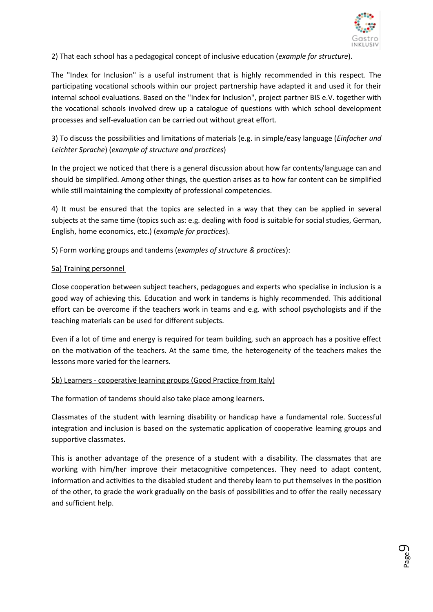

2) That each school has a pedagogical concept of inclusive education (*example for structure*).

The "Index for Inclusion" is a useful instrument that is highly recommended in this respect. The participating vocational schools within our project partnership have adapted it and used it for their internal school evaluations. Based on the "Index for Inclusion", project partner BIS e.V. together with the vocational schools involved drew up a catalogue of questions with which school development processes and self-evaluation can be carried out without great effort.

3) To discuss the possibilities and limitations of materials (e.g. in simple/easy language (*Einfacher und Leichter Sprache*) (*example of structure and practices*)

In the project we noticed that there is a general discussion about how far contents/language can and should be simplified. Among other things, the question arises as to how far content can be simplified while still maintaining the complexity of professional competencies.

4) It must be ensured that the topics are selected in a way that they can be applied in several subjects at the same time (topics such as: e.g. dealing with food is suitable for social studies, German, English, home economics, etc.) (*example for practices*).

5) Form working groups and tandems (*examples of structure & practices*):

#### 5a) Training personnel

Close cooperation between subject teachers, pedagogues and experts who specialise in inclusion is a good way of achieving this. Education and work in tandems is highly recommended. This additional effort can be overcome if the teachers work in teams and e.g. with school psychologists and if the teaching materials can be used for different subjects.

Even if a lot of time and energy is required for team building, such an approach has a positive effect on the motivation of the teachers. At the same time, the heterogeneity of the teachers makes the lessons more varied for the learners.

#### 5b) Learners - cooperative learning groups (Good Practice from Italy)

The formation of tandems should also take place among learners.

Classmates of the student with learning disability or handicap have a fundamental role. Successful integration and inclusion is based on the systematic application of cooperative learning groups and supportive classmates.

This is another advantage of the presence of a student with a disability. The classmates that are working with him/her improve their metacognitive competences. They need to adapt content, information and activities to the disabled student and thereby learn to put themselves in the position of the other, to grade the work gradually on the basis of possibilities and to offer the really necessary and sufficient help.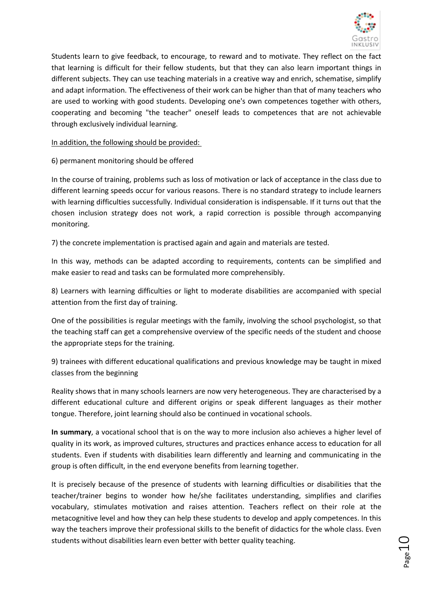

Students learn to give feedback, to encourage, to reward and to motivate. They reflect on the fact that learning is difficult for their fellow students, but that they can also learn important things in different subjects. They can use teaching materials in a creative way and enrich, schematise, simplify and adapt information. The effectiveness of their work can be higher than that of many teachers who are used to working with good students. Developing one's own competences together with others, cooperating and becoming "the teacher" oneself leads to competences that are not achievable through exclusively individual learning.

In addition, the following should be provided:

6) permanent monitoring should be offered

In the course of training, problems such as loss of motivation or lack of acceptance in the class due to different learning speeds occur for various reasons. There is no standard strategy to include learners with learning difficulties successfully. Individual consideration is indispensable. If it turns out that the chosen inclusion strategy does not work, a rapid correction is possible through accompanying monitoring.

7) the concrete implementation is practised again and again and materials are tested.

In this way, methods can be adapted according to requirements, contents can be simplified and make easier to read and tasks can be formulated more comprehensibly.

8) Learners with learning difficulties or light to moderate disabilities are accompanied with special attention from the first day of training.

One of the possibilities is regular meetings with the family, involving the school psychologist, so that the teaching staff can get a comprehensive overview of the specific needs of the student and choose the appropriate steps for the training.

9) trainees with different educational qualifications and previous knowledge may be taught in mixed classes from the beginning

Reality shows that in many schools learners are now very heterogeneous. They are characterised by a different educational culture and different origins or speak different languages as their mother tongue. Therefore, joint learning should also be continued in vocational schools.

**In summary**, a vocational school that is on the way to more inclusion also achieves a higher level of quality in its work, as improved cultures, structures and practices enhance access to education for all students. Even if students with disabilities learn differently and learning and communicating in the group is often difficult, in the end everyone benefits from learning together.

It is precisely because of the presence of students with learning difficulties or disabilities that the teacher/trainer begins to wonder how he/she facilitates understanding, simplifies and clarifies vocabulary, stimulates motivation and raises attention. Teachers reflect on their role at the metacognitive level and how they can help these students to develop and apply competences. In this way the teachers improve their professional skills to the benefit of didactics for the whole class. Even students without disabilities learn even better with better quality teaching.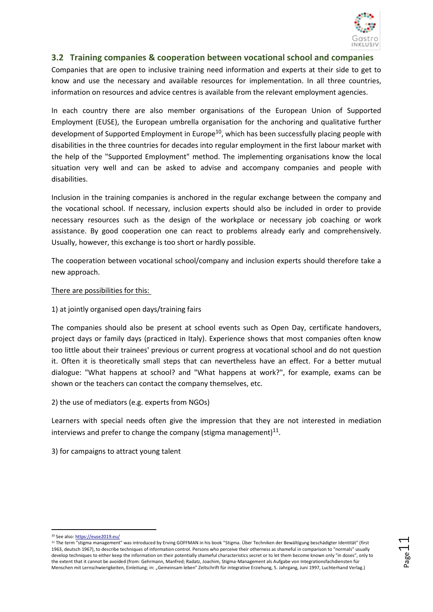

#### <span id="page-13-0"></span>**3.2 Training companies & cooperation between vocational school and companies**

Companies that are open to inclusive training need information and experts at their side to get to know and use the necessary and available resources for implementation. In all three countries, information on resources and advice centres is available from the relevant employment agencies.

In each country there are also member organisations of the European Union of Supported Employment (EUSE), the European umbrella organisation for the anchoring and qualitative further development of Supported Employment in Europe<sup>10</sup>, which has been successfully placing people with disabilities in the three countries for decades into regular employment in the first labour market with the help of the "Supported Employment" method. The implementing organisations know the local situation very well and can be asked to advise and accompany companies and people with disabilities.

Inclusion in the training companies is anchored in the regular exchange between the company and the vocational school. If necessary, inclusion experts should also be included in order to provide necessary resources such as the design of the workplace or necessary job coaching or work assistance. By good cooperation one can react to problems already early and comprehensively. Usually, however, this exchange is too short or hardly possible.

The cooperation between vocational school/company and inclusion experts should therefore take a new approach.

#### There are possibilities for this:

#### 1) at jointly organised open days/training fairs

The companies should also be present at school events such as Open Day, certificate handovers, project days or family days (practiced in Italy). Experience shows that most companies often know too little about their trainees' previous or current progress at vocational school and do not question it. Often it is theoretically small steps that can nevertheless have an effect. For a better mutual dialogue: "What happens at school? and "What happens at work?", for example, exams can be shown or the teachers can contact the company themselves, etc.

#### 2) the use of mediators (e.g. experts from NGOs)

Learners with special needs often give the impression that they are not interested in mediation interviews and prefer to change the company (stigma management) $^{11}$ .

3) for campaigns to attract young talent

Page11

**<sup>.</sup>** <sup>10</sup> See also[: https://euse2019.eu/](https://euse2019.eu/)

<sup>&</sup>lt;sup>11</sup> The term "stigma management" was introduced by Erving GOFFMAN in his book "Stigma. Über Techniken der Bewältigung beschädigter Identität" (first 1963, deutsch 1967), to describe techniques of information control. Persons who perceive their otherness as shameful in comparison to "normals" usually develop techniques to either keep the information on their potentially shameful characteristics secret or to let them become known only "in doses", only to the extent that it cannot be avoided (from: Gehrmann, Manfred; Radatz, Joachim, Stigma-Management als Aufgabe von Integrationsfachdiensten für Menschen mit Lernschwierigkeiten, Einleitung; in: "Gemeinsam leben" Zeitschrift für integrative Erziehung, 5. Jahrgang, Juni 1997, Luchterhand Verlag.)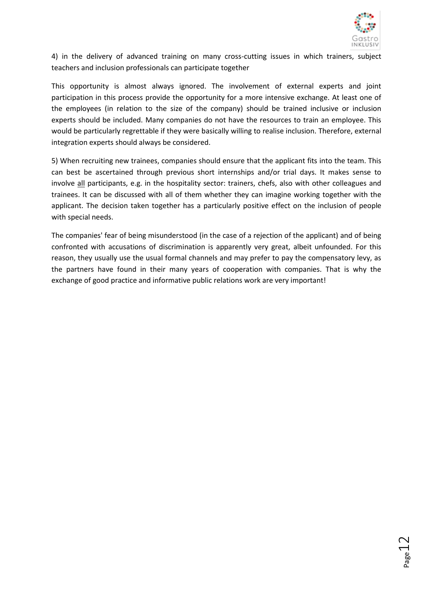

 $_{\tt Page}12$ 

4) in the delivery of advanced training on many cross-cutting issues in which trainers, subject teachers and inclusion professionals can participate together

This opportunity is almost always ignored. The involvement of external experts and joint participation in this process provide the opportunity for a more intensive exchange. At least one of the employees (in relation to the size of the company) should be trained inclusive or inclusion experts should be included. Many companies do not have the resources to train an employee. This would be particularly regrettable if they were basically willing to realise inclusion. Therefore, external integration experts should always be considered.

5) When recruiting new trainees, companies should ensure that the applicant fits into the team. This can best be ascertained through previous short internships and/or trial days. It makes sense to involve all participants, e.g. in the hospitality sector: trainers, chefs, also with other colleagues and trainees. It can be discussed with all of them whether they can imagine working together with the applicant. The decision taken together has a particularly positive effect on the inclusion of people with special needs.

The companies' fear of being misunderstood (in the case of a rejection of the applicant) and of being confronted with accusations of discrimination is apparently very great, albeit unfounded. For this reason, they usually use the usual formal channels and may prefer to pay the compensatory levy, as the partners have found in their many years of cooperation with companies. That is why the exchange of good practice and informative public relations work are very important!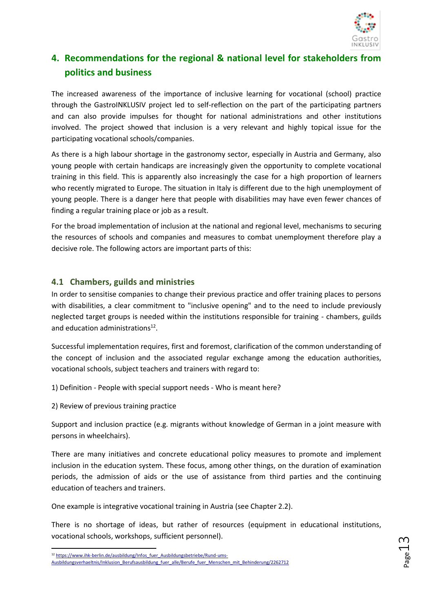

# <span id="page-15-0"></span>**4. Recommendations for the regional & national level for stakeholders from politics and business**

The increased awareness of the importance of inclusive learning for vocational (school) practice through the GastroINKLUSIV project led to self-reflection on the part of the participating partners and can also provide impulses for thought for national administrations and other institutions involved. The project showed that inclusion is a very relevant and highly topical issue for the participating vocational schools/companies.

As there is a high labour shortage in the gastronomy sector, especially in Austria and Germany, also young people with certain handicaps are increasingly given the opportunity to complete vocational training in this field. This is apparently also increasingly the case for a high proportion of learners who recently migrated to Europe. The situation in Italy is different due to the high unemployment of young people. There is a danger here that people with disabilities may have even fewer chances of finding a regular training place or job as a result.

For the broad implementation of inclusion at the national and regional level, mechanisms to securing the resources of schools and companies and measures to combat unemployment therefore play a decisive role. The following actors are important parts of this:

## <span id="page-15-1"></span>**4.1 Chambers, guilds and ministries**

In order to sensitise companies to change their previous practice and offer training places to persons with disabilities, a clear commitment to "inclusive opening" and to the need to include previously neglected target groups is needed within the institutions responsible for training - chambers, guilds and education administrations<sup>12</sup>.

Successful implementation requires, first and foremost, clarification of the common understanding of the concept of inclusion and the associated regular exchange among the education authorities, vocational schools, subject teachers and trainers with regard to:

1) Definition - People with special support needs - Who is meant here?

2) Review of previous training practice

Support and inclusion practice (e.g. migrants without knowledge of German in a joint measure with persons in wheelchairs).

There are many initiatives and concrete educational policy measures to promote and implement inclusion in the education system. These focus, among other things, on the duration of examination periods, the admission of aids or the use of assistance from third parties and the continuing education of teachers and trainers.

One example is integrative vocational training in Austria (see Chapter 2.2).

There is no shortage of ideas, but rather of resources (equipment in educational institutions, vocational schools, workshops, sufficient personnel).

<sup>1</sup> <sup>12</sup> [https://www.ihk-berlin.de/ausbildung/Infos\\_fuer\\_Ausbildungsbetriebe/Rund-ums-](https://www.ihk-berlin.de/ausbildung/Infos_fuer_Ausbildungsbetriebe/Rund-ums-Ausbildungsverhaeltnis/Inklusion_Berufsausbildung_fuer_alle/Berufe_fuer_Menschen_mit_Behinderung/2262712)[Ausbildungsverhaeltnis/Inklusion\\_Berufsausbildung\\_fuer\\_alle/Berufe\\_fuer\\_Menschen\\_mit\\_Behinderung/2262712](https://www.ihk-berlin.de/ausbildung/Infos_fuer_Ausbildungsbetriebe/Rund-ums-Ausbildungsverhaeltnis/Inklusion_Berufsausbildung_fuer_alle/Berufe_fuer_Menschen_mit_Behinderung/2262712)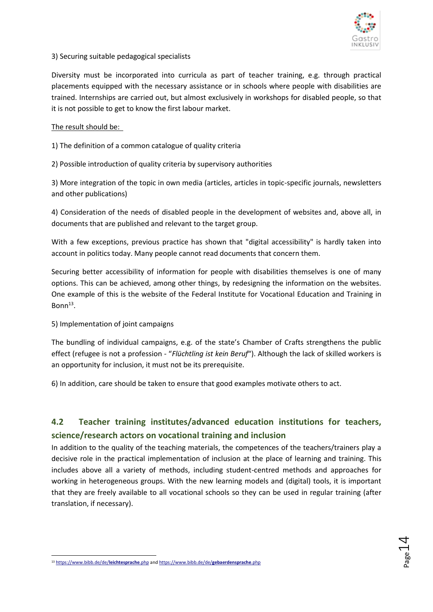

#### 3) Securing suitable pedagogical specialists

Diversity must be incorporated into curricula as part of teacher training, e.g. through practical placements equipped with the necessary assistance or in schools where people with disabilities are trained. Internships are carried out, but almost exclusively in workshops for disabled people, so that it is not possible to get to know the first labour market.

#### The result should be:

1) The definition of a common catalogue of quality criteria

2) Possible introduction of quality criteria by supervisory authorities

3) More integration of the topic in own media (articles, articles in topic-specific journals, newsletters and other publications)

4) Consideration of the needs of disabled people in the development of websites and, above all, in documents that are published and relevant to the target group.

With a few exceptions, previous practice has shown that "digital accessibility" is hardly taken into account in politics today. Many people cannot read documents that concern them.

Securing better accessibility of information for people with disabilities themselves is one of many options. This can be achieved, among other things, by redesigning the information on the websites. One example of this is the website of the Federal Institute for Vocational Education and Training in Bonn $^{13}$ .

#### 5) Implementation of joint campaigns

The bundling of individual campaigns, e.g. of the state's Chamber of Crafts strengthens the public effect (refugee is not a profession - "*Flüchtling ist kein Beruf*"). Although the lack of skilled workers is an opportunity for inclusion, it must not be its prerequisite.

6) In addition, care should be taken to ensure that good examples motivate others to act.

# <span id="page-16-0"></span>**4.2 Teacher training institutes/advanced education institutions for teachers, science/research actors on vocational training and inclusion**

In addition to the quality of the teaching materials, the competences of the teachers/trainers play a decisive role in the practical implementation of inclusion at the place of learning and training. This includes above all a variety of methods, including student-centred methods and approaches for working in heterogeneous groups. With the new learning models and (digital) tools, it is important that they are freely available to all vocational schools so they can be used in regular training (after translation, if necessary).

 $_{\rm Page}$ 14

<sup>1</sup> <sup>13</sup> [https://www.bibb.de/de/](https://www.bibb.de/de/leichtesprache.php)**leichtesprache**.php an[d https://www.bibb.de/de/](https://www.bibb.de/de/gebaerdensprache.php)**gebaerdensprache**.php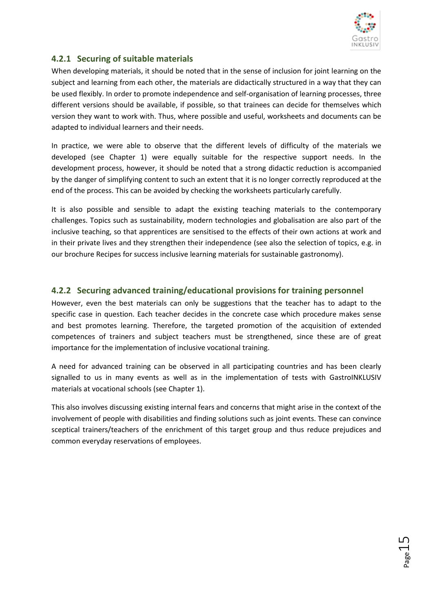

# <span id="page-17-0"></span>**4.2.1 Securing of suitable materials**

When developing materials, it should be noted that in the sense of inclusion for joint learning on the subject and learning from each other, the materials are didactically structured in a way that they can be used flexibly. In order to promote independence and self-organisation of learning processes, three different versions should be available, if possible, so that trainees can decide for themselves which version they want to work with. Thus, where possible and useful, worksheets and documents can be adapted to individual learners and their needs.

In practice, we were able to observe that the different levels of difficulty of the materials we developed (see Chapter 1) were equally suitable for the respective support needs. In the development process, however, it should be noted that a strong didactic reduction is accompanied by the danger of simplifying content to such an extent that it is no longer correctly reproduced at the end of the process. This can be avoided by checking the worksheets particularly carefully.

It is also possible and sensible to adapt the existing teaching materials to the contemporary challenges. Topics such as sustainability, modern technologies and globalisation are also part of the inclusive teaching, so that apprentices are sensitised to the effects of their own actions at work and in their private lives and they strengthen their independence (see also the selection of topics, e.g. in our brochure Recipes for success inclusive learning materials for sustainable gastronomy).

## <span id="page-17-1"></span>**4.2.2 Securing advanced training/educational provisions for training personnel**

However, even the best materials can only be suggestions that the teacher has to adapt to the specific case in question. Each teacher decides in the concrete case which procedure makes sense and best promotes learning. Therefore, the targeted promotion of the acquisition of extended competences of trainers and subject teachers must be strengthened, since these are of great importance for the implementation of inclusive vocational training.

A need for advanced training can be observed in all participating countries and has been clearly signalled to us in many events as well as in the implementation of tests with GastroINKLUSIV materials at vocational schools (see Chapter 1).

This also involves discussing existing internal fears and concerns that might arise in the context of the involvement of people with disabilities and finding solutions such as joint events. These can convince sceptical trainers/teachers of the enrichment of this target group and thus reduce prejudices and common everyday reservations of employees.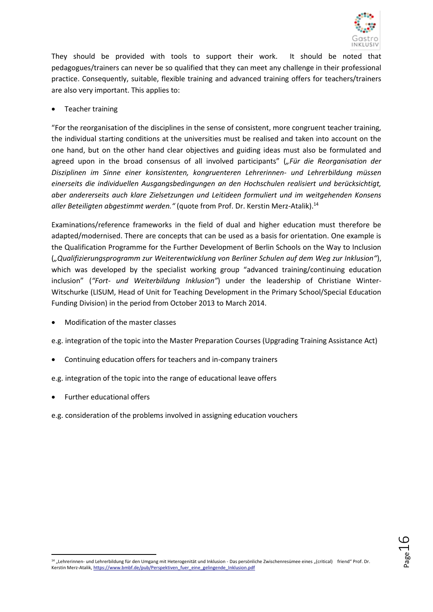

They should be provided with tools to support their work. It should be noted that pedagogues/trainers can never be so qualified that they can meet any challenge in their professional practice. Consequently, suitable, flexible training and advanced training offers for teachers/trainers are also very important. This applies to:

#### • Teacher training

"For the reorganisation of the disciplines in the sense of consistent, more congruent teacher training, the individual starting conditions at the universities must be realised and taken into account on the one hand, but on the other hand clear objectives and guiding ideas must also be formulated and agreed upon in the broad consensus of all involved participants" (*"Für die Reorganisation der Disziplinen im Sinne einer konsistenten, kongruenteren Lehrerinnen- und Lehrerbildung müssen einerseits die individuellen Ausgangsbedingungen an den Hochschulen realisiert und berücksichtigt, aber andererseits auch klare Zielsetzungen und Leitideen formuliert und im weitgehenden Konsens aller Beteiligten abgestimmt werden."* (quote from Prof. Dr. Kerstin Merz-Atalik).<sup>14</sup>

Examinations/reference frameworks in the field of dual and higher education must therefore be adapted/modernised. There are concepts that can be used as a basis for orientation. One example is the Qualification Programme for the Further Development of Berlin Schools on the Way to Inclusion (*"Qualifizierungsprogramm zur Weiterentwicklung von Berliner Schulen auf dem Weg zur Inklusion"*), which was developed by the specialist working group "advanced training/continuing education inclusion" (*"Fort- und Weiterbildung Inklusion"*) under the leadership of Christiane Winter-Witschurke (LISUM, Head of Unit for Teaching Development in the Primary School/Special Education Funding Division) in the period from October 2013 to March 2014.

• Modification of the master classes

e.g. integration of the topic into the Master Preparation Courses (Upgrading Training Assistance Act)

- Continuing education offers for teachers and in-company trainers
- e.g. integration of the topic into the range of educational leave offers
- Further educational offers
- e.g. consideration of the problems involved in assigning education vouchers

Page16

**<sup>.</sup>** <sup>14</sup> "Lehrerinnen- und Lehrerbildung für den Umgang mit Heterogenität und Inklusion - Das persönliche Zwischenresümee eines "(critical) friend" Prof. Dr. Kerstin Merz-Atalik[, https://www.bmbf.de/pub/Perspektiven\\_fuer\\_eine\\_gelingende\\_Inklusion.pdf](https://www.bmbf.de/pub/Perspektiven_fuer_eine_gelingende_Inklusion.pdf)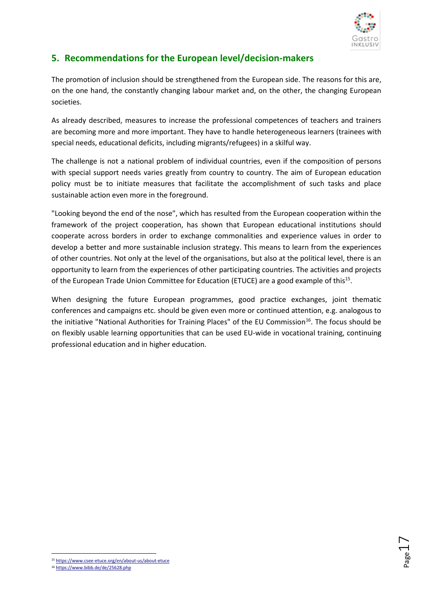

 $_{\rm Page}17$ 

# <span id="page-19-0"></span>**5. Recommendations for the European level/decision-makers**

The promotion of inclusion should be strengthened from the European side. The reasons for this are, on the one hand, the constantly changing labour market and, on the other, the changing European societies.

As already described, measures to increase the professional competences of teachers and trainers are becoming more and more important. They have to handle heterogeneous learners (trainees with special needs, educational deficits, including migrants/refugees) in a skilful way.

The challenge is not a national problem of individual countries, even if the composition of persons with special support needs varies greatly from country to country. The aim of European education policy must be to initiate measures that facilitate the accomplishment of such tasks and place sustainable action even more in the foreground.

"Looking beyond the end of the nose", which has resulted from the European cooperation within the framework of the project cooperation, has shown that European educational institutions should cooperate across borders in order to exchange commonalities and experience values in order to develop a better and more sustainable inclusion strategy. This means to learn from the experiences of other countries. Not only at the level of the organisations, but also at the political level, there is an opportunity to learn from the experiences of other participating countries. The activities and projects of the European Trade Union Committee for Education (ETUCE) are a good example of this<sup>15</sup>.

When designing the future European programmes, good practice exchanges, joint thematic conferences and campaigns etc. should be given even more or continued attention, e.g. analogous to the initiative "National Authorities for Training Places" of the EU Commission<sup>16</sup>. The focus should be on flexibly usable learning opportunities that can be used EU-wide in vocational training, continuing professional education and in higher education.



<sup>16</sup> <https://www.bibb.de/de/25628.php>

 $\overline{a}$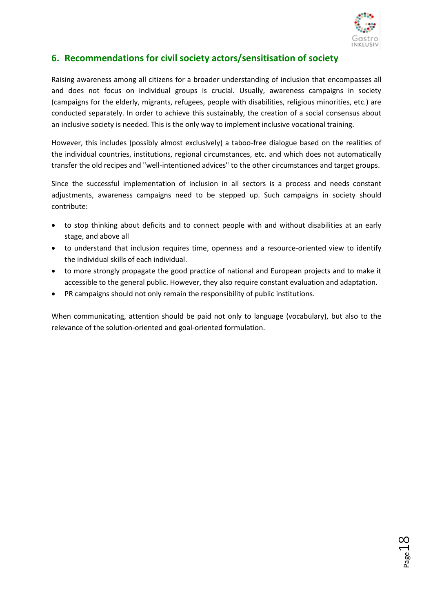

Page18

# <span id="page-20-0"></span>**6. Recommendations for civil society actors/sensitisation of society**

Raising awareness among all citizens for a broader understanding of inclusion that encompasses all and does not focus on individual groups is crucial. Usually, awareness campaigns in society (campaigns for the elderly, migrants, refugees, people with disabilities, religious minorities, etc.) are conducted separately. In order to achieve this sustainably, the creation of a social consensus about an inclusive society is needed. This is the only way to implement inclusive vocational training.

However, this includes (possibly almost exclusively) a taboo-free dialogue based on the realities of the individual countries, institutions, regional circumstances, etc. and which does not automatically transfer the old recipes and "well-intentioned advices" to the other circumstances and target groups.

Since the successful implementation of inclusion in all sectors is a process and needs constant adjustments, awareness campaigns need to be stepped up. Such campaigns in society should contribute:

- to stop thinking about deficits and to connect people with and without disabilities at an early stage, and above all
- to understand that inclusion requires time, openness and a resource-oriented view to identify the individual skills of each individual.
- to more strongly propagate the good practice of national and European projects and to make it accessible to the general public. However, they also require constant evaluation and adaptation.
- PR campaigns should not only remain the responsibility of public institutions.

When communicating, attention should be paid not only to language (vocabulary), but also to the relevance of the solution-oriented and goal-oriented formulation.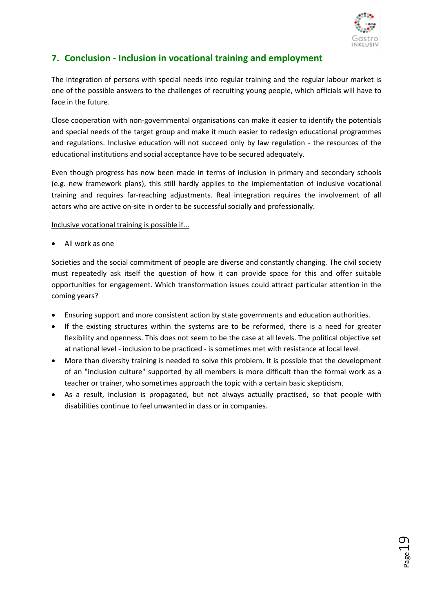

# <span id="page-21-0"></span>**7. Conclusion - Inclusion in vocational training and employment**

The integration of persons with special needs into regular training and the regular labour market is one of the possible answers to the challenges of recruiting young people, which officials will have to face in the future.

Close cooperation with non-governmental organisations can make it easier to identify the potentials and special needs of the target group and make it much easier to redesign educational programmes and regulations. Inclusive education will not succeed only by law regulation - the resources of the educational institutions and social acceptance have to be secured adequately.

Even though progress has now been made in terms of inclusion in primary and secondary schools (e.g. new framework plans), this still hardly applies to the implementation of inclusive vocational training and requires far-reaching adjustments. Real integration requires the involvement of all actors who are active on-site in order to be successful socially and professionally.

Inclusive vocational training is possible if...

All work as one

Societies and the social commitment of people are diverse and constantly changing. The civil society must repeatedly ask itself the question of how it can provide space for this and offer suitable opportunities for engagement. Which transformation issues could attract particular attention in the coming years?

- Ensuring support and more consistent action by state governments and education authorities.
- If the existing structures within the systems are to be reformed, there is a need for greater flexibility and openness. This does not seem to be the case at all levels. The political objective set at national level - inclusion to be practiced - is sometimes met with resistance at local level.
- More than diversity training is needed to solve this problem. It is possible that the development of an "inclusion culture" supported by all members is more difficult than the formal work as a teacher or trainer, who sometimes approach the topic with a certain basic skepticism.
- As a result, inclusion is propagated, but not always actually practised, so that people with disabilities continue to feel unwanted in class or in companies.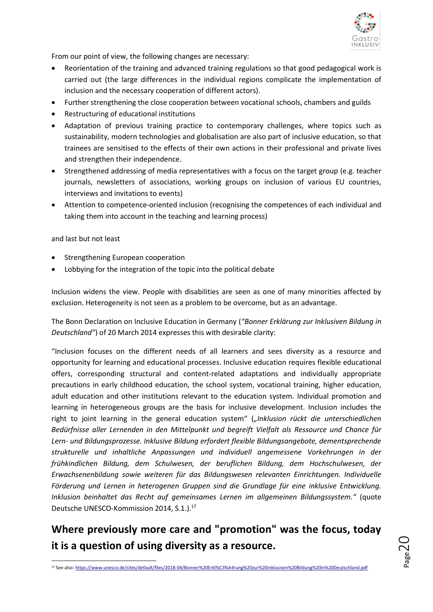

From our point of view, the following changes are necessary:

- Reorientation of the training and advanced training regulations so that good pedagogical work is carried out (the large differences in the individual regions complicate the implementation of inclusion and the necessary cooperation of different actors).
- Further strengthening the close cooperation between vocational schools, chambers and guilds
- Restructuring of educational institutions
- Adaptation of previous training practice to contemporary challenges, where topics such as sustainability, modern technologies and globalisation are also part of inclusive education, so that trainees are sensitised to the effects of their own actions in their professional and private lives and strengthen their independence.
- Strengthened addressing of media representatives with a focus on the target group (e.g. teacher journals, newsletters of associations, working groups on inclusion of various EU countries, interviews and invitations to events)
- Attention to competence-oriented inclusion (recognising the competences of each individual and taking them into account in the teaching and learning process)

#### and last but not least

**.** 

- Strengthening European cooperation
- Lobbying for the integration of the topic into the political debate

Inclusion widens the view. People with disabilities are seen as one of many minorities affected by exclusion. Heterogeneity is not seen as a problem to be overcome, but as an advantage.

The Bonn Declaration on Inclusive Education in Germany (*"Bonner Erklärung zur Inklusiven Bildung in Deutschland"*) of 20 March 2014 expresses this with desirable clarity:

"Inclusion focuses on the different needs of all learners and sees diversity as a resource and opportunity for learning and educational processes. Inclusive education requires flexible educational offers, corresponding structural and content-related adaptations and individually appropriate precautions in early childhood education, the school system, vocational training, higher education, adult education and other institutions relevant to the education system. Individual promotion and learning in heterogeneous groups are the basis for inclusive development. Inclusion includes the right to joint learning in the general education system" (*"Inklusion rückt die unterschiedlichen Bedürfnisse aller Lernenden in den Mittelpunkt und begreift Vielfalt als Ressource und Chance für Lern- und Bildungsprozesse. Inklusive Bildung erfordert flexible Bildungsangebote, dementsprechende strukturelle und inhaltliche Anpassungen und individuell angemessene Vorkehrungen in der frühkindlichen Bildung, dem Schulwesen, der beruflichen Bildung, dem Hochschulwesen, der Erwachsenenbildung sowie weiteren für das Bildungswesen relevanten Einrichtungen. Individuelle Förderung und Lernen in heterogenen Gruppen sind die Grundlage für eine inklusive Entwicklung. Inklusion beinhaltet das Recht auf gemeinsames Lernen im allgemeinen Bildungssystem."* (quote Deutsche UNESCO-Kommission 2014, S.1.).<sup>17</sup>

# **Where previously more care and "promotion" was the focus, today it is a question of using diversity as a resource.**



<sup>17</sup> See also[: https://www.unesco.de/sites/default/files/2018-04/Bonner%20Erkl%C3%A4rung%20zur%20inklusiven%20Bildung%20in%20Deutschland.pdf](https://www.unesco.de/sites/default/files/2018-04/Bonner%20Erkl%C3%A4rung%20zur%20inklusiven%20Bildung%20in%20Deutschland.pdf)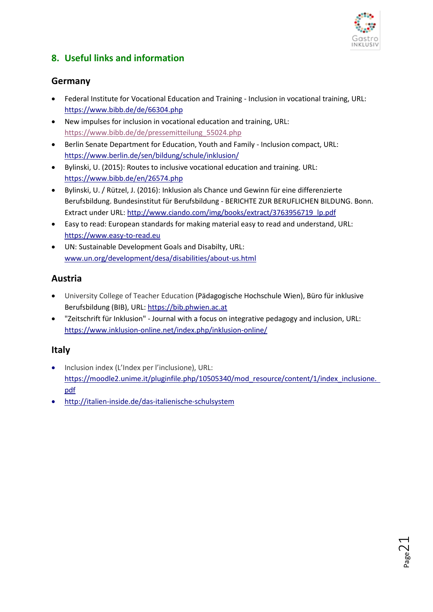

# <span id="page-23-0"></span>**8. Useful links and information**

# **Germany**

- Federal Institute for Vocational Education and Training Inclusion in vocational training, URL: <https://www.bibb.de/de/66304.php>
- New impulses for inclusion in vocational education and training, URL: [https://www.bibb.de/de/pressemitteilung\\_55024.php](https://www.bibb.de/de/pressemitteilung_55024.php)
- Berlin Senate Department for Education, Youth and Family Inclusion compact, URL: <https://www.berlin.de/sen/bildung/schule/inklusion/>
- Bylinski, U. (2015): Routes to inclusive vocational education and training. URL: <https://www.bibb.de/en/26574.php>
- Bylinski, U. / Rützel, J. (2016): Inklusion als Chance und Gewinn für eine differenzierte Berufsbildung. Bundesinstitut für Berufsbildung - BERICHTE ZUR BERUFLICHEN BILDUNG. Bonn. Extract under URL: [http://www.ciando.com/img/books/extract/3763956719\\_lp.pdf](http://www.ciando.com/img/books/extract/3763956719_lp.pdf)
- Easy to read: European standards for making material easy to read and understand, URL: [https://www.easy-to-read.eu](https://www.easy-to-read.eu/)
- UN: Sustainable Development Goals and Disabilty, URL: [www.un.org/development/desa/disabilities/about-us.html](http://www.un.org/development/desa/disabilities/about-us.html)

# **Austria**

- University College of Teacher Education (Pädagogische Hochschule Wien), Büro für inklusive Berufsbildung (BIB), URL: [https://bib.phwien.ac.at](https://bib.phwien.ac.at/)
- "Zeitschrift für Inklusion" Journal with a focus on integrative pedagogy and inclusion, URL: <https://www.inklusion-online.net/index.php/inklusion-online/>

## **Italy**

- Inclusion index (L'Index per l'inclusione), URL: https://moodle2.unime.it/pluginfile.php/10505340/mod\_resource/content/1/index\_inclusione. [pdf](https://moodle2.unime.it/pluginfile.php/10505340/mod_resource/content/1/index_inclusione.%20%20pdf)
- <http://italien-inside.de/das-italienische-schulsystem>